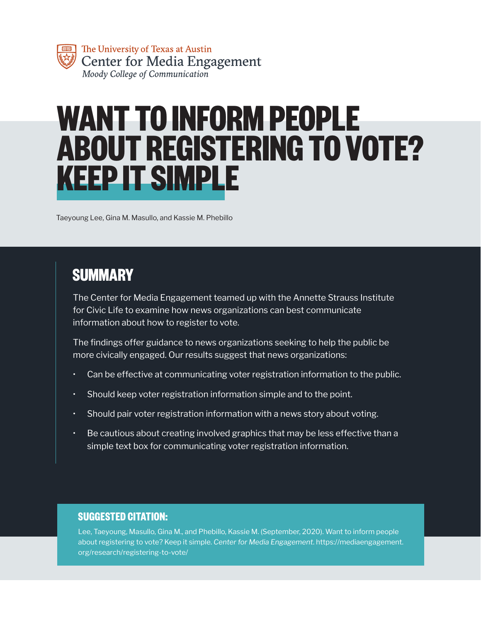

# **WANT TO INFORM PEOPLE ABOUT REGISTERING TO VOTE? KEEP IT SIMPLE**

Taeyoung Lee, Gina M. Masullo, and Kassie M. Phebillo

# **SUMMARY**

The Center for Media Engagement teamed up with the Annette Strauss Institute for Civic Life to examine how news organizations can best communicate information about how to register to vote.

The findings offer guidance to news organizations seeking to help the public be more civically engaged. Our results suggest that news organizations:

- Can be effective at communicating voter registration information to the public.
- Should keep voter registration information simple and to the point.
- Should pair voter registration information with a news story about voting.
- Be cautious about creating involved graphics that may be less effective than a simple text box for communicating voter registration information.

#### **SUGGESTED CITATION:**

Lee, Taeyoung, Masullo, Gina M., and Phebillo, Kassie M. (September, 2020). Want to inform people about registering to vote? Keep it simple. *Center for Media Engagement*. https://mediaengagement. org/research/registering-to-vote/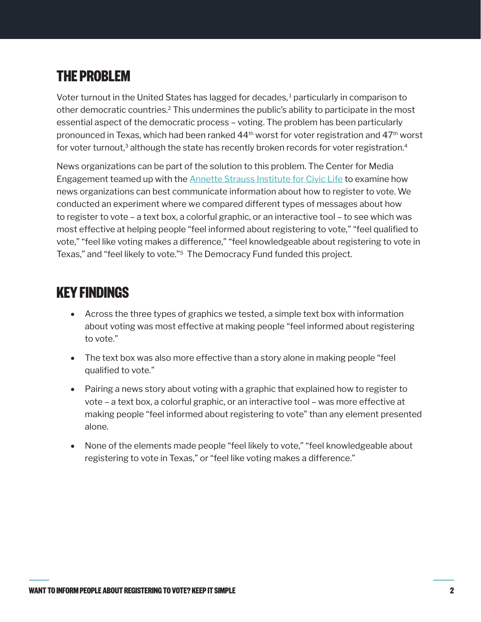# <span id="page-1-0"></span>**THE PROBLEM**

Voter turnout in the United States has lagged for decades, $<sup>1</sup>$  $<sup>1</sup>$  $<sup>1</sup>$  particularly in comparison to</sup> other democratic countries.[2](#page-7-0) This undermines the public's ability to participate in the most essential aspect of the democratic process – voting. The problem has been particularly pronounced in Texas, which had been ranked 44<sup>th</sup> worst for voter registration and 47<sup>th</sup> worst for voter turnout,<sup>3</sup> although the state has recently broken records for voter registration.<sup>[4](#page-7-0)</sup>

News organizations can be part of the solution to this problem. The Center for Media Engagement teamed up with the [Annette Strauss Institute for Civic Life](https://moody.utexas.edu/centers/strauss) to examine how news organizations can best communicate information about how to register to vote. We conducted an experiment where we compared different types of messages about how to register to vote – a text box, a colorful graphic, or an interactive tool – to see which was most effective at helping people "feel informed about registering to vote," "feel qualified to vote," "feel like voting makes a difference," "feel knowledgeable about registering to vote in Texas," and "feel likely to vote."[5](#page-7-0) The Democracy Fund funded this project.

## **KEY FINDINGS**

- Across the three types of graphics we tested, a simple text box with information about voting was most effective at making people "feel informed about registering to vote."
- The text box was also more effective than a story alone in making people "feel qualified to vote."
- Pairing a news story about voting with a graphic that explained how to register to vote – a text box, a colorful graphic, or an interactive tool – was more effective at making people "feel informed about registering to vote" than any element presented alone.
- None of the elements made people "feel likely to vote," "feel knowledgeable about registering to vote in Texas," or "feel like voting makes a difference."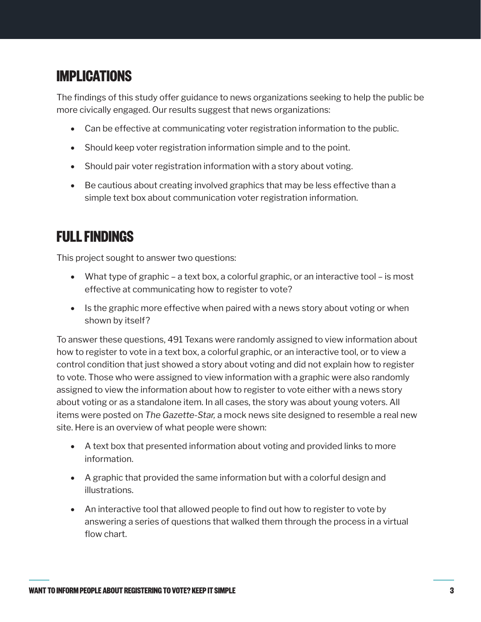# **IMPLICATIONS**

The findings of this study offer guidance to news organizations seeking to help the public be more civically engaged. Our results suggest that news organizations:

- Can be effective at communicating voter registration information to the public.
- Should keep voter registration information simple and to the point.
- Should pair voter registration information with a story about voting.
- Be cautious about creating involved graphics that may be less effective than a simple text box about communication voter registration information.

# **FULL FINDINGS**

This project sought to answer two questions:

- What type of graphic a text box, a colorful graphic, or an interactive tool is most effective at communicating how to register to vote?
- Is the graphic more effective when paired with a news story about voting or when shown by itself?

To answer these questions, 491 Texans were randomly assigned to view information about how to register to vote in a text box, a colorful graphic, or an interactive tool, or to view a control condition that just showed a story about voting and did not explain how to register to vote. Those who were assigned to view information with a graphic were also randomly assigned to view the information about how to register to vote either with a news story about voting or as a standalone item. In all cases, the story was about young voters. All items were posted on *The Gazette-Star,* a mock news site designed to resemble a real new site. Here is an overview of what people were shown:

- A text box that presented information about voting and provided links to more information.
- • A graphic that provided the same information but with a colorful design and illustrations.
- An interactive tool that allowed people to find out how to register to vote by answering a series of questions that walked them through the process in a virtual flow chart.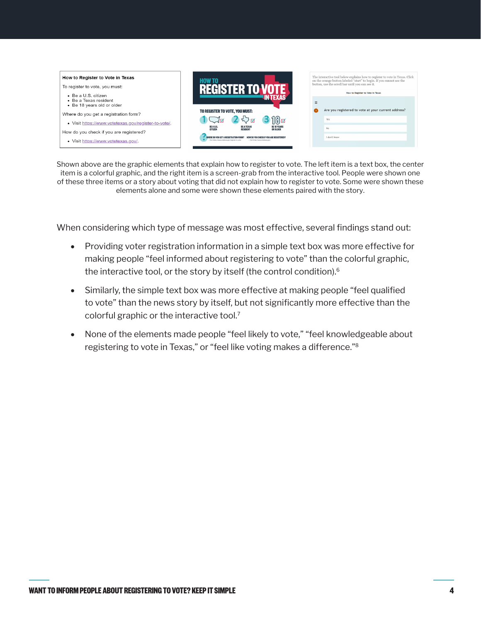<span id="page-3-0"></span>

Shown above are the graphic elements that explain how to register to vote. The left item is a text box, the center item is a colorful graphic, and the right item is a screen-grab from the interactive tool. People were shown one of these three items or a story about voting that did not explain how to register to vote. Some were shown these elements alone and some were shown these elements paired with the story.

When considering which type of message was most effective, several findings stand out:

- Providing voter registration information in a simple text box was more effective for making people "feel informed about registering to vote" than the colorful graphic, the interactive tool, or the story by itself (the control condition)[.6](#page-7-0)
- Similarly, the simple text box was more effective at making people "feel qualified" to vote" than the news story by itself, but not significantly more effective than the colorful graphic or the interactive tool.[7](#page-7-0)
- None of the elements made people "feel likely to vote," "feel knowledgeable about registering to vote in Texas," or "feel like voting makes a difference."[8](#page-7-0)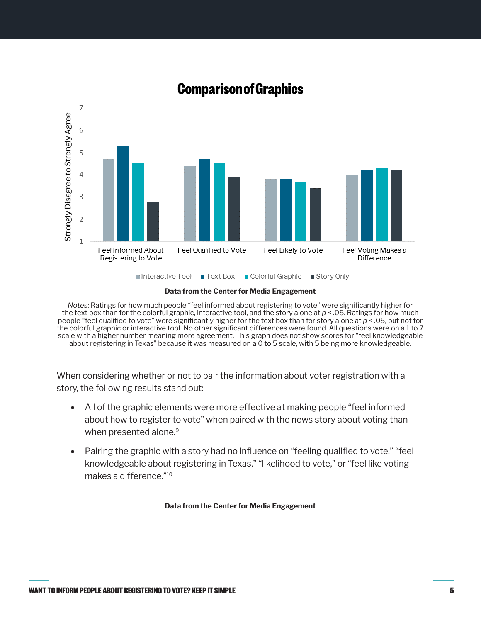<span id="page-4-0"></span>

### **Comparison of Graphics**

**Data from the Center for Media Engagement**

*Notes*: Ratings for how much people "feel informed about registering to vote" were significantly higher for the text box than for the colorful graphic, interactive tool, and the story alone at *p <* .05. Ratings for how much people "feel qualified to vote" were significantly higher for the text box than for story alone at *p* < .05, but not for the colorful graphic or interactive tool. No other significant differences were found. All questions were on a 1 to 7 scale with a higher number meaning more agreement. This graph does not show scores for "feel knowledgeable about registering in Texas" because it was measured on a 0 to 5 scale, with 5 being more knowledgeable.

When considering whether or not to pair the information about voter registration with a story, the following results stand out:

- All of the graphic elements were more effective at making people "feel informed" about how to register to vote" when paired with the news story about voting than when presented alone.<sup>[9](#page-7-0)</sup>
- Pairing the graphic with a story had no influence on "feeling qualified to vote," "feel knowledgeable about registering in Texas," "likelihood to vote," or "feel like voting makes a difference."[10](#page-7-0)

**Data from the Center for Media Engagement**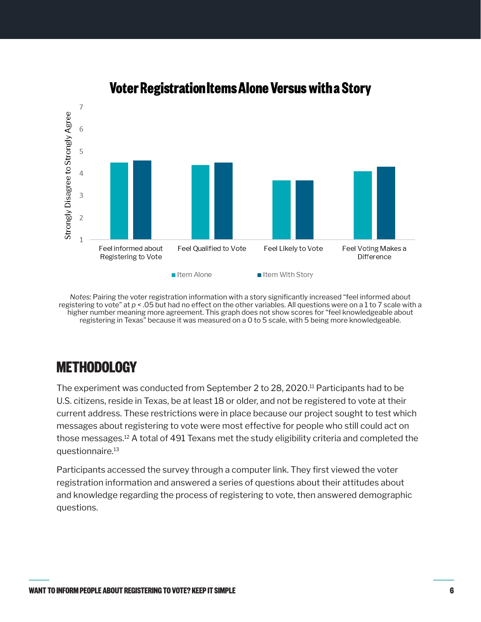<span id="page-5-0"></span>

### **Voter Registration Items Alone Versus with a Story**

*Notes*: Pairing the voter registration information with a story significantly increased "feel informed about registering to vote" at *p <* .05 but had no effect on the other variables. All questions were on a 1 to 7 scale with a higher number meaning more agreement. This graph does not show scores for "feel knowledgeable about registering in Texas" because it was measured on a 0 to 5 scale, with 5 being more knowledgeable.

## **METHODOLOGY**

The experiment was conducted from September 2 to 28, 2020[.11](#page-7-0) Participants had to be U.S. citizens, reside in Texas, be at least 18 or older, and not be registered to vote at their current address. These restrictions were in place because our project sought to test which messages about registering to vote were most effective for people who still could act on those messages[.12](#page-8-0) A total of 491 Texans met the study eligibility criteria and completed the questionnaire.[13](#page-8-0)

Participants accessed the survey through a computer link. They first viewed the voter registration information and answered a series of questions about their attitudes about and knowledge regarding the process of registering to vote, then answered demographic questions.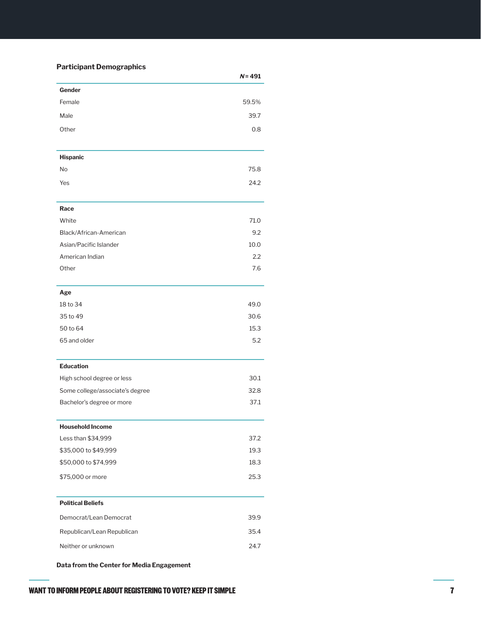#### **Participant Demographics**

|                                 | $N = 491$ |
|---------------------------------|-----------|
| Gender                          |           |
| Female                          | 59.5%     |
| Male                            | 39.7      |
| Other                           | 0.8       |
|                                 |           |
| <b>Hispanic</b>                 |           |
| No                              | 75.8      |
| Yes                             | 24.2      |
|                                 |           |
| Race                            |           |
| White                           | 71.0      |
| Black/African-American          | 9.2       |
| Asian/Pacific Islander          | 10.0      |
| American Indian                 | 2.2       |
| Other                           | 7.6       |
| Age                             |           |
| 18 to 34                        | 49.0      |
| 35 to 49                        | 30.6      |
| 50 to 64                        | 15.3      |
| 65 and older                    | 5.2       |
| <b>Education</b>                |           |
| High school degree or less      | 30.1      |
| Some college/associate's degree | 32.8      |
| Bachelor's degree or more       | 37.1      |
| <b>Household Income</b>         |           |
| Less than \$34,999              | 37.2      |
| \$35,000 to \$49,999            | 19.3      |
| \$50,000 to \$74,999            | 18.3      |
| \$75,000 or more                | 25.3      |
| <b>Political Beliefs</b>        |           |
| Democrat/Lean Democrat          | 39.9      |
|                                 | 35.4      |
| Republican/Lean Republican      |           |
| Neither or unknown              | 24.7      |

**Data from the Center for Media Engagement**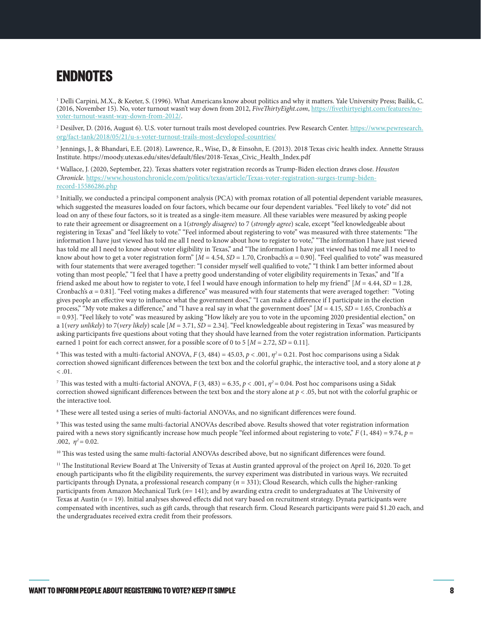## <span id="page-7-0"></span>**ENDNOTES**

<sup>1</sup> Delli Carpini, M.X., & Keeter, S. (1996). What Americans know about politics and why it matters. Yale University Press; Bailik, C. (2016, November 15). No, voter turnout wasn't way down from 2012, *FiveThirtyEight.com*, [https://fivethirtyeight.com/features/no](https://fivethirtyeight.com/features/no-voter-turnout-wasnt-way-down-from-2012/)[voter-turnout-wasnt-way-down-from-2012/](https://fivethirtyeight.com/features/no-voter-turnout-wasnt-way-down-from-2012/).

<sup>[2](#page-1-0)</sup> Desilver, D. (2016, August 6). U.S. voter turnout trails most developed countries. Pew Research Center. <u>https://www.pewresearch.</u> [org/fact-tank/2018/05/21/u-s-voter-turnout-trails-most-developed-countries/](https://www.pewresearch.org/fact-tank/2018/05/21/u-s-voter-turnout-trails-most-developed-countries/)

[3](#page-1-0) Jennings, J., & Bhandari, E.E. (2018). Lawrence, R., Wise, D., & Einsohn, E. (2013). 2018 Texas civic health index. Annette Strauss Institute. https://moody.utexas.edu/sites/default/files/2018-Texas\_Civic\_Health\_Index.pdf

[4](#page-1-0) Wallace, J. (2020, September, 22). Texas shatters voter registration records as Trump-Biden election draws close. *Houston Chronicle.* [https://www.houstonchronicle.com/politics/texas/article/Texas-voter-registration-surges-trump-biden](https://www.houstonchronicle.com/politics/texas/article/Texas-voter-registration-surges-trump-biden-record-15586286.php)[record-15586286.php](https://www.houstonchronicle.com/politics/texas/article/Texas-voter-registration-surges-trump-biden-record-15586286.php)

<sup>[5](#page-1-0)</sup> Initially, we conducted a principal component analysis (PCA) with promax rotation of all potential dependent variable measures, which suggested the measures loaded on four factors, which became our four dependent variables. "Feel likely to vote" did not load on any of these four factors, so it is treated as a single-item measure. All these variables were measured by asking people to rate their agreement or disagreement on a 1(*strongly disagree*) to 7 (*strongly agree*) scale, except "feel knowledgeable about registering in Texas" and "feel likely to vote." "Feel informed about registering to vote" was measured with three statements: "The information I have just viewed has told me all I need to know about how to register to vote," "The information I have just viewed has told me all I need to know about voter eligibility in Texas," and "The information I have just viewed has told me all I need to know about how to get a voter registration form" [*M* = 4.54, *SD* = 1.70, Cronbach's *α* = 0.90]. "Feel qualified to vote" was measured with four statements that were averaged together: "I consider myself well qualified to vote," "I think I am better informed about voting than most people," "I feel that I have a pretty good understanding of voter eligibility requirements in Texas," and "If a friend asked me about how to register to vote, I feel I would have enough information to help my friend" [*M* = 4.44, *SD* = 1.28, Cronbach's  $\alpha$  = 0.81]. "Feel voting makes a difference" was measured with four statements that were averaged together: "Voting" gives people an effective way to influence what the government does," "I can make a difference if I participate in the election process," "My vote makes a difference," and "I have a real say in what the government does" [*M* = 4.15, *SD* = 1.65, Cronbach's *α* = 0.93]. "Feel likely to vote" was measured by asking "How likely are you to vote in the upcoming 2020 presidential election," on a 1(*very unlikely*) to 7(*very likely*) scale [*M* = 3.71, *SD* = 2.34]. "Feel knowledgeable about registering in Texas" was measured by asking participants five questions about voting that they should have learned from the voter registration information. Participants earned 1 point for each correct answer, for a possible score of 0 to 5  $[M = 2.72, SD = 0.11]$ .

<sup>[6](#page-3-0)</sup> This was tested with a multi-factorial ANOVA, *F* (3, 484) = 45.03, *p* < .001,  $\eta^2$  = 0.21. Post hoc comparisons using a Sidak correction showed significant differences between the text box and the colorful graphic, the interactive tool, and a story alone at *p*  $< 0.01$ .

<sup>[7](#page-3-0)</sup> This was tested with a multi-factorial ANOVA, *F* (3, 483) = 6.35, *p* < .001,  $\eta^2$  = 0.04. Post hoc comparisons using a Sidak correction showed significant differences between the text box and the story alone at *p* < .05, but not with the colorful graphic or the interactive tool.

 $\,^8$  $\,^8$  These were all tested using a series of multi-factorial ANOVAs, and no significant differences were found.

[9](#page-4-0) This was tested using the same multi-factorial ANOVAs described above. Results showed that voter registration information paired with a news story significantly increase how much people "feel informed about registering to vote," *F* (1, 484) = 9.74, *p* = .002,  $n^2 = 0.02$ .

<sup>10</sup> This was tested using the same multi-factorial ANOVAs described above, but no significant differences were found.

<sup>[11](#page-5-0)</sup> The Institutional Review Board at The University of Texas at Austin granted approval of the project on April 16, 2020. To get enough participants who fit the eligibility requirements, the survey experiment was distributed in various ways. We recruited participants through Dynata, a professional research company (*n* = 331); Cloud Research, which culls the higher-ranking participants from Amazon Mechanical Turk (*n*= 141); and by awarding extra credit to undergraduates at The University of Texas at Austin (*n* = 19). Initial analyses showed effects did not vary based on recruitment strategy. Dynata participants were compensated with incentives, such as gift cards, through that research firm. Cloud Research participants were paid \$1.20 each, and the undergraduates received extra credit from their professors.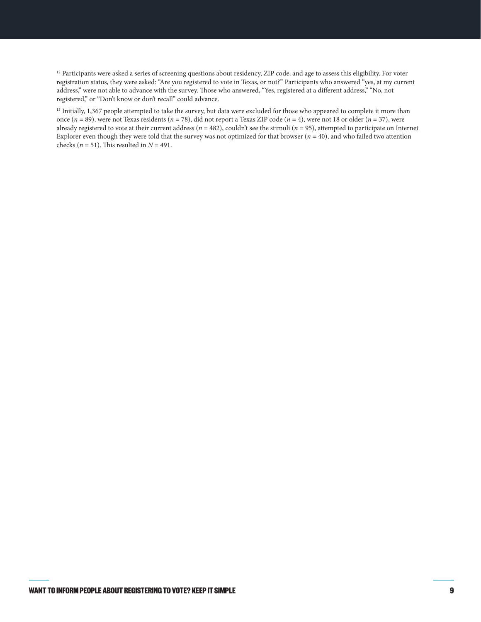<span id="page-8-0"></span><sup>[12](#page-5-0)</sup> Participants were asked a series of screening questions about residency, ZIP code, and age to assess this eligibility. For voter registration status, they were asked: "Are you registered to vote in Texas, or not?" Participants who answered "yes, at my current address," were not able to advance with the survey. Those who answered, "Yes, registered at a different address," "No, not registered," or "Don't know or don't recall" could advance.

<sup>[13](#page-5-0)</sup> Initially, 1,367 people attempted to take the survey, but data were excluded for those who appeared to complete it more than once (*n* = 89), were not Texas residents (*n* = 78), did not report a Texas ZIP code (*n* = 4), were not 18 or older (*n* = 37), were already registered to vote at their current address ( $n = 482$ ), couldn't see the stimuli ( $n = 95$ ), attempted to participate on Internet Explorer even though they were told that the survey was not optimized for that browser  $(n = 40)$ , and who failed two attention checks ( $n = 51$ ). This resulted in  $N = 491$ .